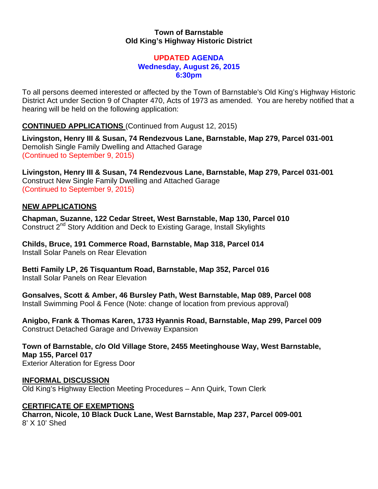## **Town of Barnstable Old King's Highway Historic District**

### **UPDATED AGENDA Wednesday, August 26, 2015 6:30pm**

To all persons deemed interested or affected by the Town of Barnstable's Old King's Highway Historic District Act under Section 9 of Chapter 470, Acts of 1973 as amended. You are hereby notified that a hearing will be held on the following application:

**CONTINUED APPLICATIONS** (Continued from August 12, 2015)

**Livingston, Henry III & Susan, 74 Rendezvous Lane, Barnstable, Map 279, Parcel 031-001**  Demolish Single Family Dwelling and Attached Garage (Continued to September 9, 2015)

**Livingston, Henry III & Susan, 74 Rendezvous Lane, Barnstable, Map 279, Parcel 031-001**  Construct New Single Family Dwelling and Attached Garage (Continued to September 9, 2015)

# **NEW APPLICATIONS**

**Chapman, Suzanne, 122 Cedar Street, West Barnstable, Map 130, Parcel 010**  Construct 2<sup>nd</sup> Story Addition and Deck to Existing Garage, Install Skylights

**Childs, Bruce, 191 Commerce Road, Barnstable, Map 318, Parcel 014**  Install Solar Panels on Rear Elevation

**Betti Family LP, 26 Tisquantum Road, Barnstable, Map 352, Parcel 016**  Install Solar Panels on Rear Elevation

**Gonsalves, Scott & Amber, 46 Bursley Path, West Barnstable, Map 089, Parcel 008**  Install Swimming Pool & Fence (Note: change of location from previous approval)

**Anigbo, Frank & Thomas Karen, 1733 Hyannis Road, Barnstable, Map 299, Parcel 009**  Construct Detached Garage and Driveway Expansion

**Town of Barnstable, c/o Old Village Store, 2455 Meetinghouse Way, West Barnstable, Map 155, Parcel 017**  Exterior Alteration for Egress Door

#### **INFORMAL DISCUSSION**  Old King's Highway Election Meeting Procedures – Ann Quirk, Town Clerk

## **CERTIFICATE OF EXEMPTIONS**

**Charron, Nicole, 10 Black Duck Lane, West Barnstable, Map 237, Parcel 009-001**  8' X 10' Shed